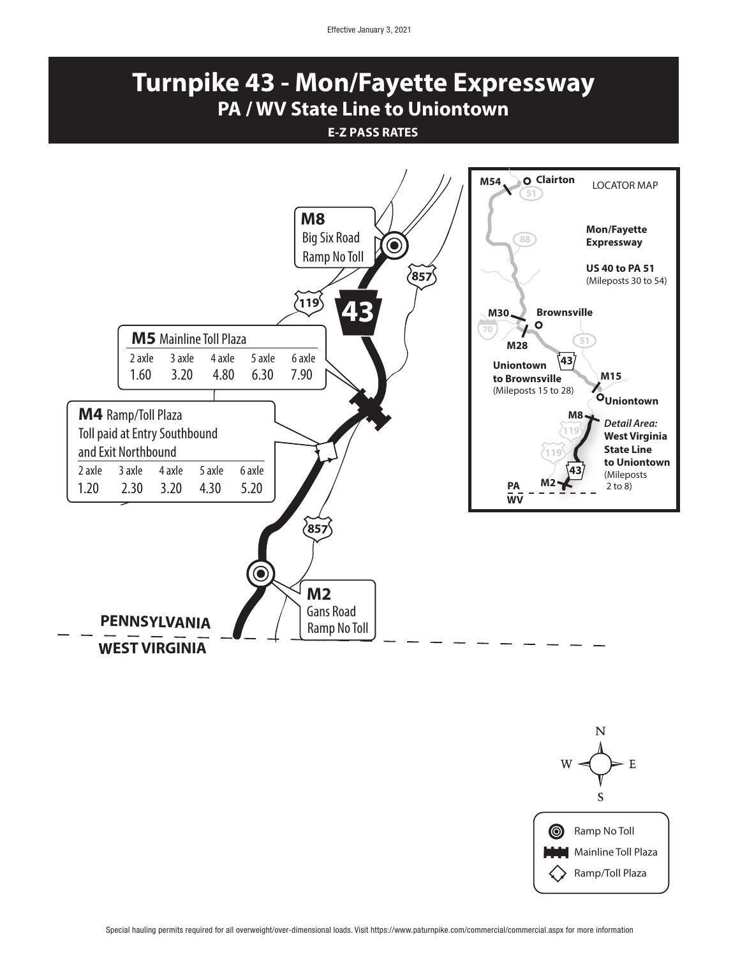Effective January 3, 2021

## **Turnpike 43 - Mon/Fayette Expressway PA / WV State Line to Uniontown**

## **E-Z PASS RATES**



Special hauling permits required for all overweight/over-dimensional loads. Visit https://www.paturnpike.com/commercial/commercial.aspx for more information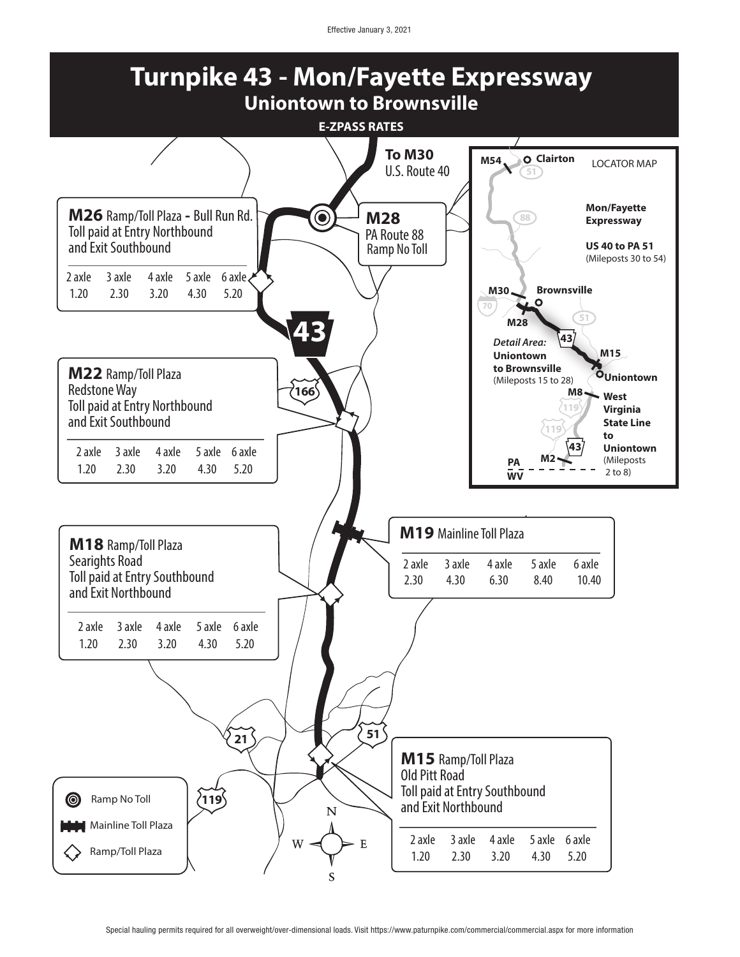Effective January 3, 2021